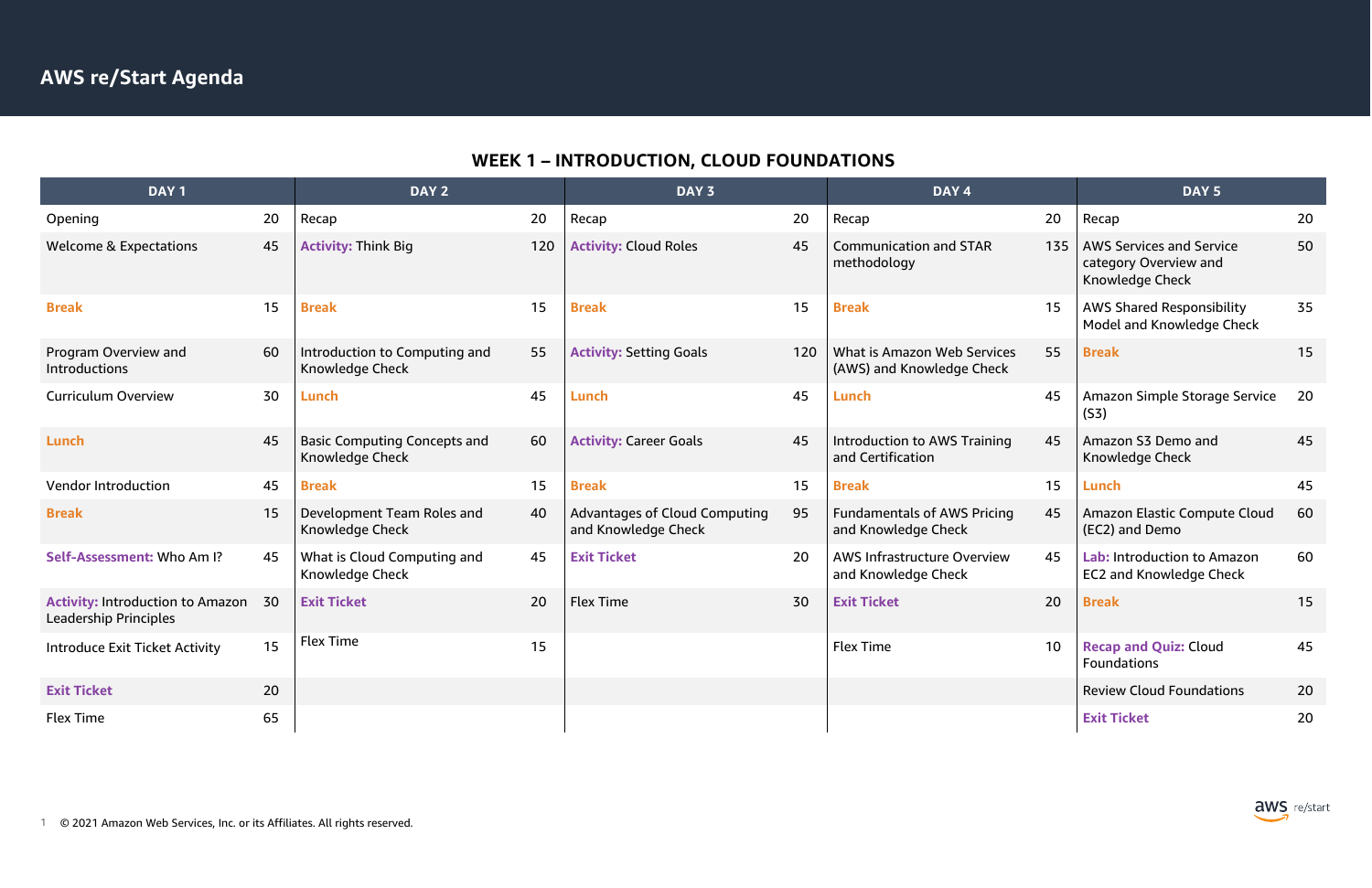

# **WEEK 1 – INTRODUCTION, CLOUD FOUNDATIONS**

| DAY <sub>1</sub>                                                 |    | DAY 2                                                  |     | DAY 3                                                       |     | DAY 4                                                     |                 | DAY <sub>5</sub>                                                            |    |
|------------------------------------------------------------------|----|--------------------------------------------------------|-----|-------------------------------------------------------------|-----|-----------------------------------------------------------|-----------------|-----------------------------------------------------------------------------|----|
| Opening                                                          | 20 | Recap                                                  | 20  | Recap                                                       | 20  | Recap                                                     | 20              | Recap                                                                       | 20 |
| <b>Welcome &amp; Expectations</b>                                | 45 | <b>Activity: Think Big</b>                             | 120 | <b>Activity: Cloud Roles</b>                                | 45  | <b>Communication and STAR</b><br>methodology              | 135             | <b>AWS Services and Service</b><br>category Overview and<br>Knowledge Check | 50 |
| <b>Break</b>                                                     | 15 | <b>Break</b>                                           | 15  | <b>Break</b>                                                | 15  | <b>Break</b>                                              | 15              | <b>AWS Shared Responsibility</b><br>Model and Knowledge Check               | 35 |
| Program Overview and<br>Introductions                            | 60 | Introduction to Computing and<br>Knowledge Check       | 55  | <b>Activity: Setting Goals</b>                              | 120 | What is Amazon Web Services<br>(AWS) and Knowledge Check  | 55              | <b>Break</b>                                                                | 15 |
| <b>Curriculum Overview</b>                                       | 30 | Lunch                                                  | 45  | Lunch                                                       | 45  | Lunch                                                     | 45              | Amazon Simple Storage Service<br>(S3)                                       | 20 |
| Lunch                                                            | 45 | <b>Basic Computing Concepts and</b><br>Knowledge Check | 60  | <b>Activity: Career Goals</b>                               | 45  | <b>Introduction to AWS Training</b><br>and Certification  | 45              | Amazon S3 Demo and<br>Knowledge Check                                       | 45 |
| Vendor Introduction                                              | 45 | <b>Break</b>                                           | 15  | <b>Break</b>                                                | 15  | <b>Break</b>                                              | 15              | Lunch                                                                       | 45 |
| <b>Break</b>                                                     | 15 | Development Team Roles and<br>Knowledge Check          | 40  | <b>Advantages of Cloud Computing</b><br>and Knowledge Check | 95  | <b>Fundamentals of AWS Pricing</b><br>and Knowledge Check | 45              | Amazon Elastic Compute Cloud<br>(EC2) and Demo                              | 60 |
| Self-Assessment: Who Am I?                                       | 45 | What is Cloud Computing and<br>Knowledge Check         | 45  | <b>Exit Ticket</b>                                          | 20  | AWS Infrastructure Overview<br>and Knowledge Check        | 45              | Lab: Introduction to Amazon<br><b>EC2 and Knowledge Check</b>               | 60 |
| <b>Activity: Introduction to Amazon</b><br>Leadership Principles | 30 | <b>Exit Ticket</b>                                     | 20  | <b>Flex Time</b>                                            | 30  | <b>Exit Ticket</b>                                        | 20              | <b>Break</b>                                                                | 15 |
| <b>Introduce Exit Ticket Activity</b>                            | 15 | <b>Flex Time</b>                                       | 15  |                                                             |     | <b>Flex Time</b>                                          | 10 <sup>°</sup> | <b>Recap and Quiz: Cloud</b><br><b>Foundations</b>                          | 45 |
| <b>Exit Ticket</b>                                               | 20 |                                                        |     |                                                             |     |                                                           |                 | <b>Review Cloud Foundations</b>                                             | 20 |
| <b>Flex Time</b>                                                 | 65 |                                                        |     |                                                             |     |                                                           |                 | <b>Exit Ticket</b>                                                          | 20 |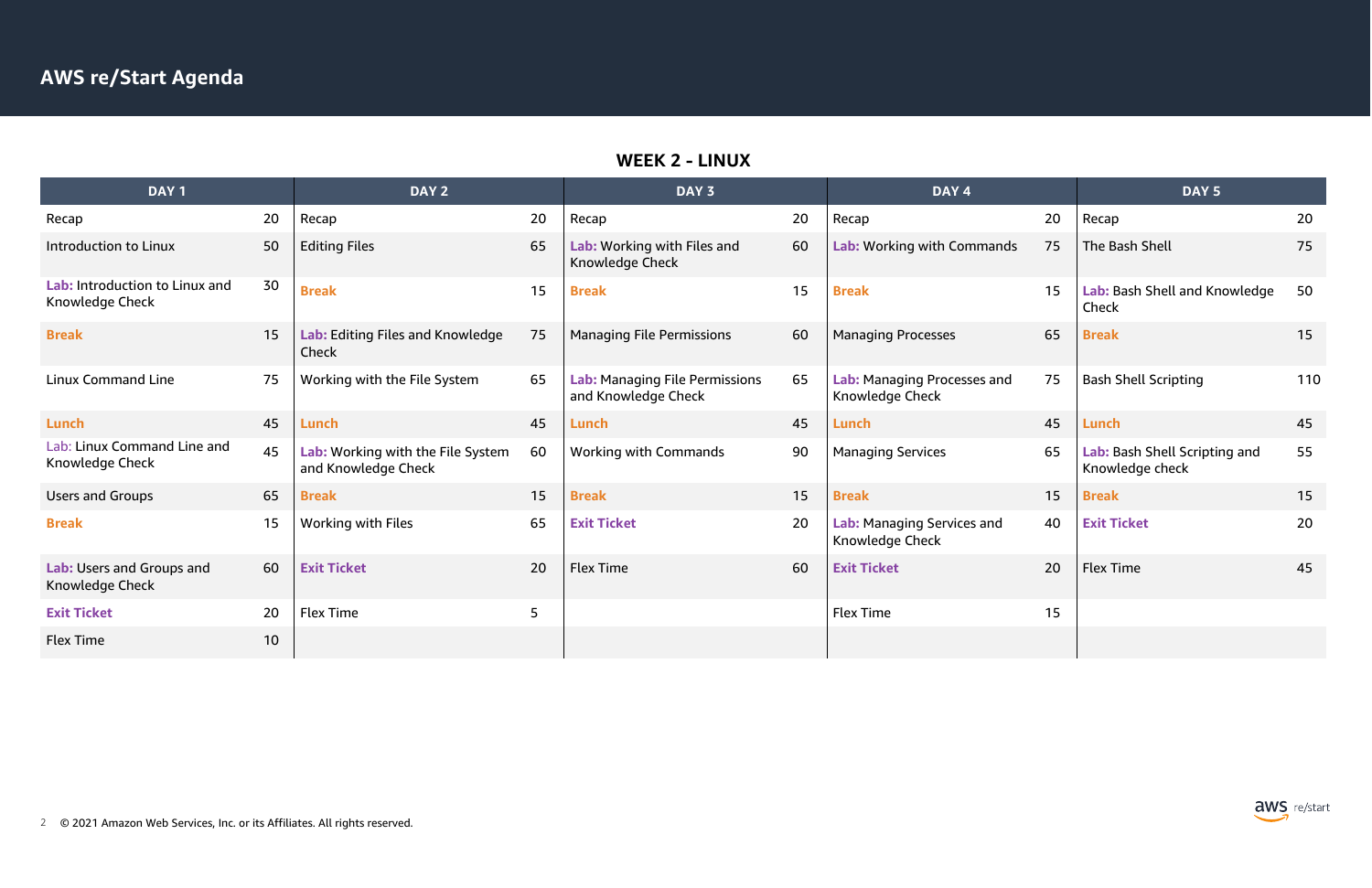#### **WEEK 2 - LINUX**

| DAY <sub>1</sub>                                  |    | DAY <sub>2</sub>                                         |    | DAY <sub>3</sub>                                      |    | DAY <sub>4</sub>                               |    | DAY <sub>5</sub>                                 |    |
|---------------------------------------------------|----|----------------------------------------------------------|----|-------------------------------------------------------|----|------------------------------------------------|----|--------------------------------------------------|----|
| Recap                                             | 20 | Recap                                                    | 20 | Recap                                                 | 20 | Recap                                          | 20 | Recap                                            | 20 |
| <b>Introduction to Linux</b>                      | 50 | <b>Editing Files</b>                                     | 65 | Lab: Working with Files and<br>Knowledge Check        | 60 | Lab: Working with Commands                     | 75 | The Bash Shell                                   | 75 |
| Lab: Introduction to Linux and<br>Knowledge Check | 30 | <b>Break</b>                                             | 15 | <b>Break</b>                                          | 15 | <b>Break</b>                                   | 15 | Lab: Bash Shell and Knowledge<br>Check           | 50 |
| <b>Break</b>                                      | 15 | Lab: Editing Files and Knowledge<br>Check                | 75 | <b>Managing File Permissions</b>                      | 60 | <b>Managing Processes</b>                      | 65 | <b>Break</b>                                     | 15 |
| <b>Linux Command Line</b>                         | 75 | Working with the File System                             | 65 | Lab: Managing File Permissions<br>and Knowledge Check | 65 | Lab: Managing Processes and<br>Knowledge Check | 75 | <b>Bash Shell Scripting</b>                      | 11 |
| Lunch                                             | 45 | Lunch                                                    | 45 | Lunch                                                 | 45 | Lunch                                          | 45 | Lunch                                            | 45 |
| Lab: Linux Command Line and<br>Knowledge Check    | 45 | Lab: Working with the File System<br>and Knowledge Check | 60 | <b>Working with Commands</b>                          | 90 | <b>Managing Services</b>                       | 65 | Lab: Bash Shell Scripting and<br>Knowledge check | 55 |
| <b>Users and Groups</b>                           | 65 | <b>Break</b>                                             | 15 | <b>Break</b>                                          | 15 | <b>Break</b>                                   | 15 | <b>Break</b>                                     | 15 |
| <b>Break</b>                                      | 15 | <b>Working with Files</b>                                | 65 | <b>Exit Ticket</b>                                    | 20 | Lab: Managing Services and<br>Knowledge Check  | 40 | <b>Exit Ticket</b>                               | 20 |
| Lab: Users and Groups and<br>Knowledge Check      | 60 | <b>Exit Ticket</b>                                       | 20 | <b>Flex Time</b>                                      | 60 | <b>Exit Ticket</b>                             | 20 | <b>Flex Time</b>                                 | 45 |
| <b>Exit Ticket</b>                                | 20 | <b>Flex Time</b>                                         | 5  |                                                       |    | <b>Flex Time</b>                               | 15 |                                                  |    |
| <b>Flex Time</b>                                  | 10 |                                                          |    |                                                       |    |                                                |    |                                                  |    |

|    | DAY <sub>4</sub>                               |    | DAY <sub>5</sub>                                 |     |
|----|------------------------------------------------|----|--------------------------------------------------|-----|
| 20 | Recap                                          | 20 | Recap                                            | 20  |
| 60 | Lab: Working with Commands                     | 75 | The Bash Shell                                   | 75  |
| 15 | <b>Break</b>                                   | 15 | Lab: Bash Shell and Knowledge<br>Check           | 50  |
| 60 | <b>Managing Processes</b>                      | 65 | <b>Break</b>                                     | 15  |
| 65 | Lab: Managing Processes and<br>Knowledge Check | 75 | <b>Bash Shell Scripting</b>                      | 110 |
| 45 | Lunch                                          | 45 | Lunch                                            | 45  |
| 90 | <b>Managing Services</b>                       | 65 | Lab: Bash Shell Scripting and<br>Knowledge check | 55  |
| 15 | <b>Break</b>                                   | 15 | <b>Break</b>                                     | 15  |
| 20 | Lab: Managing Services and<br>Knowledge Check  | 40 | <b>Exit Ticket</b>                               | 20  |
| 60 | <b>Exit Ticket</b>                             | 20 | <b>Flex Time</b>                                 | 45  |
|    | <b>Flex Time</b>                               | 15 |                                                  |     |
|    |                                                |    |                                                  |     |

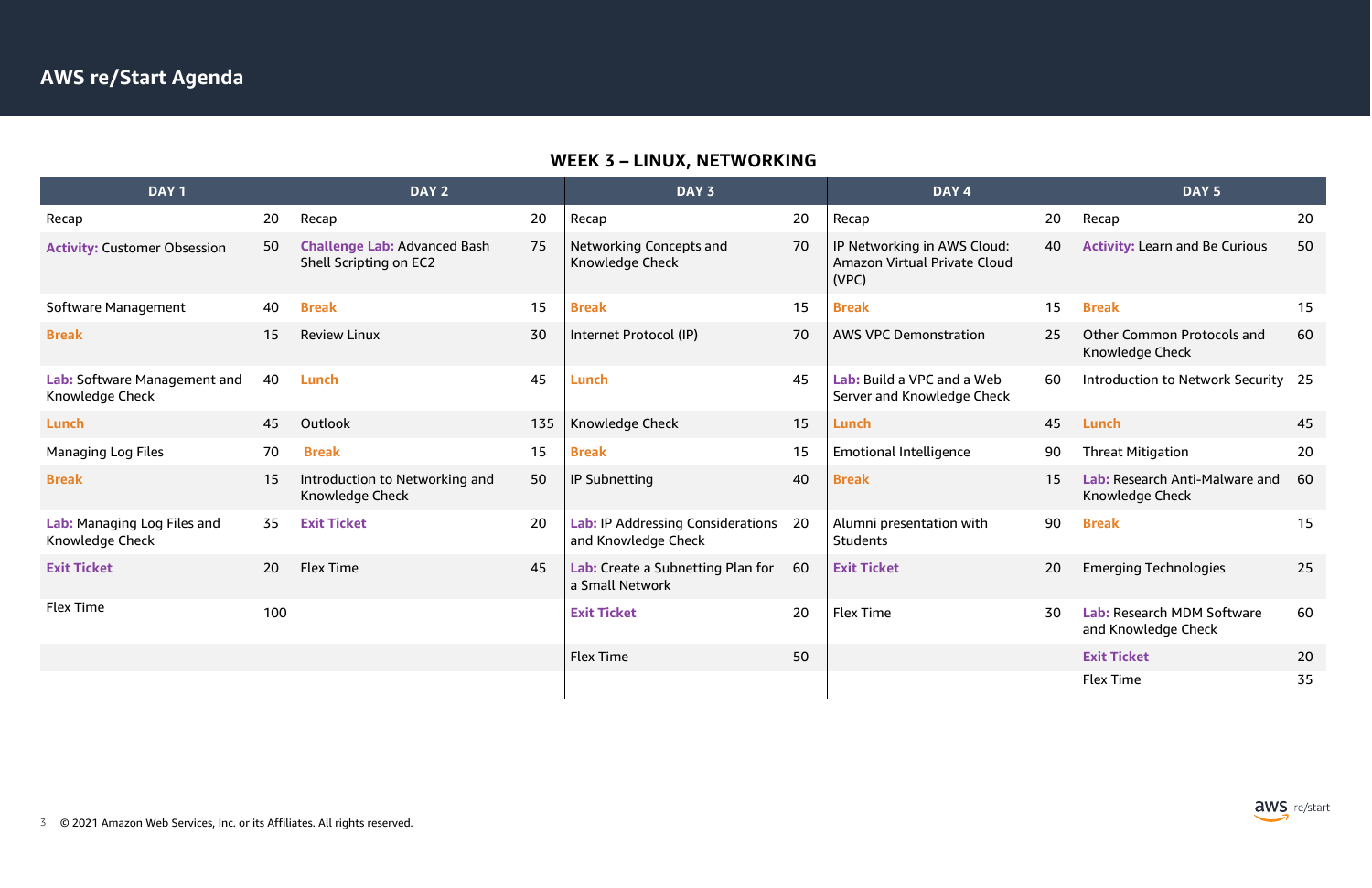

# **WEEK 3 – LINUX, NETWORKING**

| DAY <sub>1</sub>                                |     | DAY 2                                                         |     | DAY <sub>3</sub>                                                |    | DAY <sub>4</sub>                                                     |    | DAY <sub>5</sub>                                     |    |
|-------------------------------------------------|-----|---------------------------------------------------------------|-----|-----------------------------------------------------------------|----|----------------------------------------------------------------------|----|------------------------------------------------------|----|
| Recap                                           | 20  | Recap                                                         | 20  | Recap                                                           | 20 | Recap                                                                | 20 | Recap                                                | 20 |
| <b>Activity: Customer Obsession</b>             | 50  | <b>Challenge Lab: Advanced Bash</b><br>Shell Scripting on EC2 | 75  | <b>Networking Concepts and</b><br>Knowledge Check               | 70 | IP Networking in AWS Cloud:<br>Amazon Virtual Private Cloud<br>(VPC) | 40 | <b>Activity: Learn and Be Curious</b>                | 50 |
| Software Management                             | 40  | <b>Break</b>                                                  | 15  | <b>Break</b>                                                    | 15 | <b>Break</b>                                                         | 15 | <b>Break</b>                                         | 15 |
| <b>Break</b>                                    | 15  | <b>Review Linux</b>                                           | 30  | Internet Protocol (IP)                                          | 70 | <b>AWS VPC Demonstration</b>                                         | 25 | <b>Other Common Protocols and</b><br>Knowledge Check | 60 |
| Lab: Software Management and<br>Knowledge Check | 40  | Lunch                                                         | 45  | <b>Lunch</b>                                                    | 45 | Lab: Build a VPC and a Web<br>Server and Knowledge Check             | 60 | Introduction to Network Security 25                  |    |
| Lunch                                           | 45  | Outlook                                                       | 135 | Knowledge Check                                                 | 15 | Lunch                                                                | 45 | <b>Lunch</b>                                         | 45 |
| <b>Managing Log Files</b>                       | 70  | <b>Break</b>                                                  | 15  | <b>Break</b>                                                    | 15 | <b>Emotional Intelligence</b>                                        | 90 | <b>Threat Mitigation</b>                             | 20 |
| <b>Break</b>                                    | 15  | Introduction to Networking and<br>Knowledge Check             | 50  | <b>IP Subnetting</b>                                            | 40 | <b>Break</b>                                                         | 15 | Lab: Research Anti-Malware and<br>Knowledge Check    | 60 |
| Lab: Managing Log Files and<br>Knowledge Check  | 35  | <b>Exit Ticket</b>                                            | 20  | <b>Lab: IP Addressing Considerations</b><br>and Knowledge Check | 20 | Alumni presentation with<br><b>Students</b>                          | 90 | <b>Break</b>                                         | 15 |
| <b>Exit Ticket</b>                              | 20  | <b>Flex Time</b>                                              | 45  | Lab: Create a Subnetting Plan for<br>a Small Network            | 60 | <b>Exit Ticket</b>                                                   | 20 | <b>Emerging Technologies</b>                         | 25 |
| <b>Flex Time</b>                                | 100 |                                                               |     | <b>Exit Ticket</b>                                              | 20 | <b>Flex Time</b>                                                     | 30 | Lab: Research MDM Software<br>and Knowledge Check    | 60 |
|                                                 |     |                                                               |     | <b>Flex Time</b>                                                | 50 |                                                                      |    | <b>Exit Ticket</b>                                   | 20 |
|                                                 |     |                                                               |     |                                                                 |    |                                                                      |    | <b>Flex Time</b>                                     | 35 |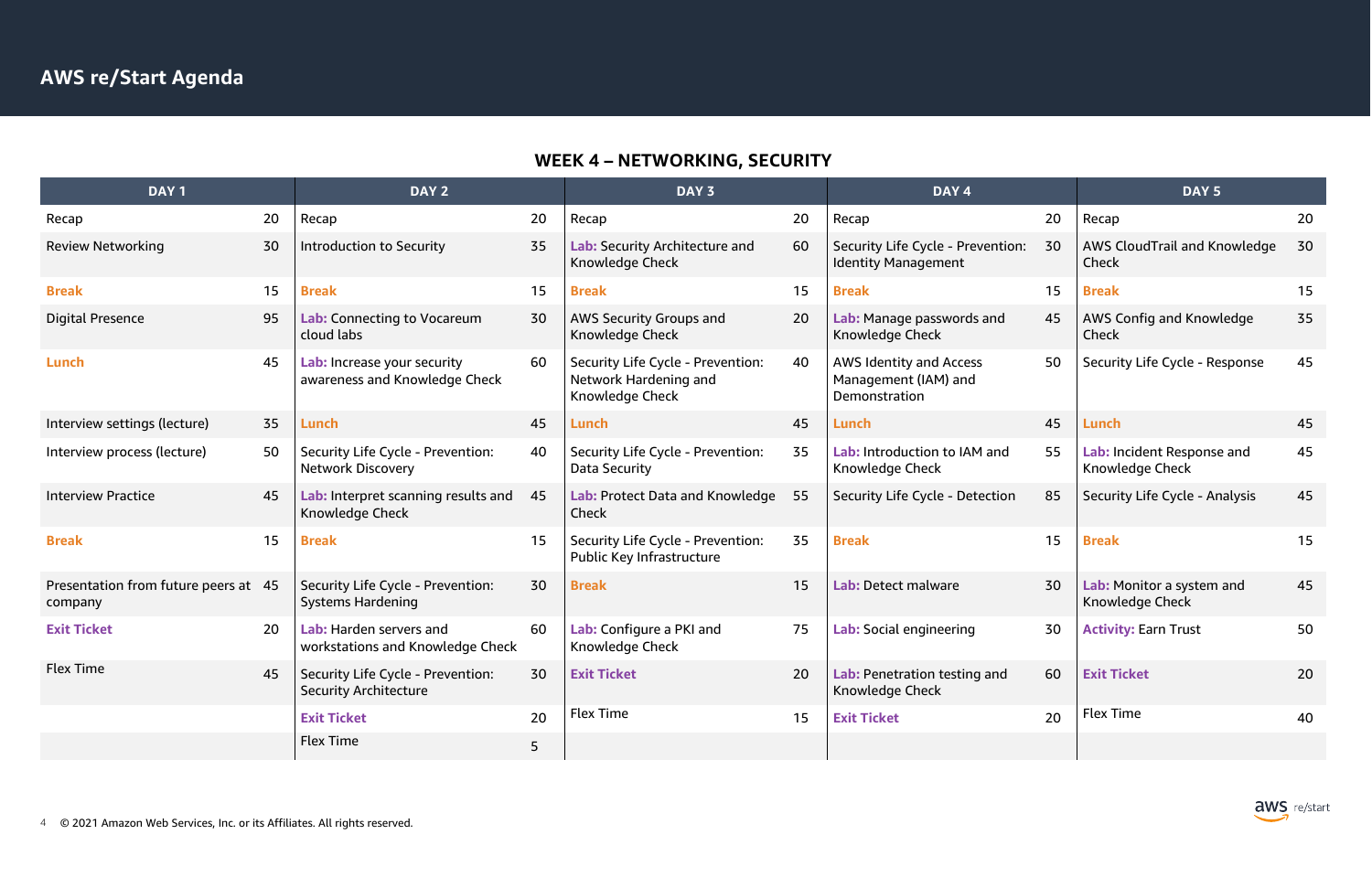# **WEEK 4 – NETWORKING, SECURITY**

|    | DAY <sub>4</sub>                                                        |    | DAY <sub>5</sub>                                    |    |
|----|-------------------------------------------------------------------------|----|-----------------------------------------------------|----|
| 20 | Recap                                                                   | 20 | Recap                                               | 20 |
| 60 | Security Life Cycle - Prevention:<br><b>Identity Management</b>         | 30 | <b>AWS CloudTrail and Knowledge</b><br><b>Check</b> | 30 |
| 15 | <b>Break</b>                                                            | 15 | <b>Break</b>                                        | 15 |
| 20 | Lab: Manage passwords and<br><b>Knowledge Check</b>                     | 45 | <b>AWS Config and Knowledge</b><br>Check            | 35 |
| 40 | <b>AWS Identity and Access</b><br>Management (IAM) and<br>Demonstration | 50 | Security Life Cycle - Response                      | 45 |
| 45 | Lunch                                                                   | 45 | Lunch                                               | 45 |
| 35 | Lab: Introduction to IAM and<br>Knowledge Check                         | 55 | Lab: Incident Response and<br>Knowledge Check       | 45 |
| 55 | Security Life Cycle - Detection                                         | 85 | Security Life Cycle - Analysis                      | 45 |
| 35 | <b>Break</b>                                                            | 15 | <b>Break</b>                                        | 15 |
| 15 | Lab: Detect malware                                                     | 30 | Lab: Monitor a system and<br>Knowledge Check        | 45 |
| 75 | Lab: Social engineering                                                 | 30 | <b>Activity: Earn Trust</b>                         | 50 |
| 20 | Lab: Penetration testing and<br>Knowledge Check                         | 60 | <b>Exit Ticket</b>                                  | 20 |
| 15 | <b>Exit Ticket</b>                                                      | 20 | <b>Flex Time</b>                                    | 40 |
|    |                                                                         |    |                                                     |    |



| DAY <sub>1</sub>                                |    | DAY <sub>2</sub>                                                  |    | DAY 3                                                                         |    | DAY 4                                                            |    | DAY <sub>5</sub>                              |    |
|-------------------------------------------------|----|-------------------------------------------------------------------|----|-------------------------------------------------------------------------------|----|------------------------------------------------------------------|----|-----------------------------------------------|----|
| Recap                                           | 20 | Recap                                                             | 20 | Recap                                                                         | 20 | Recap                                                            | 20 | Recap                                         | 20 |
| <b>Review Networking</b>                        | 30 | <b>Introduction to Security</b>                                   | 35 | Lab: Security Architecture and<br>Knowledge Check                             | 60 | Security Life Cycle - Prevention:<br><b>Identity Management</b>  | 30 | AWS CloudTrail and Knowledge<br>Check         | 30 |
| <b>Break</b>                                    | 15 | <b>Break</b>                                                      | 15 | <b>Break</b>                                                                  | 15 | <b>Break</b>                                                     | 15 | <b>Break</b>                                  | 15 |
| <b>Digital Presence</b>                         | 95 | Lab: Connecting to Vocareum<br>cloud labs                         | 30 | <b>AWS Security Groups and</b><br>Knowledge Check                             | 20 | Lab: Manage passwords and<br>Knowledge Check                     | 45 | AWS Config and Knowledge<br>Check             | 35 |
| Lunch                                           | 45 | Lab: Increase your security<br>awareness and Knowledge Check      | 60 | Security Life Cycle - Prevention:<br>Network Hardening and<br>Knowledge Check | 40 | AWS Identity and Access<br>Management (IAM) and<br>Demonstration | 50 | Security Life Cycle - Response                | 45 |
| Interview settings (lecture)                    | 35 | Lunch                                                             | 45 | Lunch                                                                         | 45 | Lunch                                                            | 45 | Lunch                                         | 45 |
| Interview process (lecture)                     | 50 | Security Life Cycle - Prevention:<br><b>Network Discovery</b>     | 40 | Security Life Cycle - Prevention:<br>Data Security                            | 35 | Lab: Introduction to IAM and<br>Knowledge Check                  | 55 | Lab: Incident Response and<br>Knowledge Check | 45 |
| <b>Interview Practice</b>                       | 45 | Lab: Interpret scanning results and<br>Knowledge Check            | 45 | Lab: Protect Data and Knowledge<br>Check                                      | 55 | Security Life Cycle - Detection                                  | 85 | Security Life Cycle - Analysis                | 45 |
| <b>Break</b>                                    | 15 | <b>Break</b>                                                      | 15 | Security Life Cycle - Prevention:<br>Public Key Infrastructure                | 35 | <b>Break</b>                                                     | 15 | <b>Break</b>                                  | 15 |
| Presentation from future peers at 45<br>company |    | Security Life Cycle - Prevention:<br><b>Systems Hardening</b>     | 30 | <b>Break</b>                                                                  | 15 | Lab: Detect malware                                              | 30 | Lab: Monitor a system and<br>Knowledge Check  | 45 |
| <b>Exit Ticket</b>                              | 20 | Lab: Harden servers and<br>workstations and Knowledge Check       | 60 | Lab: Configure a PKI and<br>Knowledge Check                                   | 75 | Lab: Social engineering                                          | 30 | <b>Activity: Earn Trust</b>                   | 50 |
| <b>Flex Time</b>                                | 45 | Security Life Cycle - Prevention:<br><b>Security Architecture</b> | 30 | <b>Exit Ticket</b>                                                            | 20 | Lab: Penetration testing and<br>Knowledge Check                  | 60 | <b>Exit Ticket</b>                            | 20 |
|                                                 |    | <b>Exit Ticket</b>                                                | 20 | <b>Flex Time</b>                                                              | 15 | <b>Exit Ticket</b>                                               | 20 | Flex Time                                     | 40 |
|                                                 |    | Flex Time                                                         | 5  |                                                                               |    |                                                                  |    |                                               |    |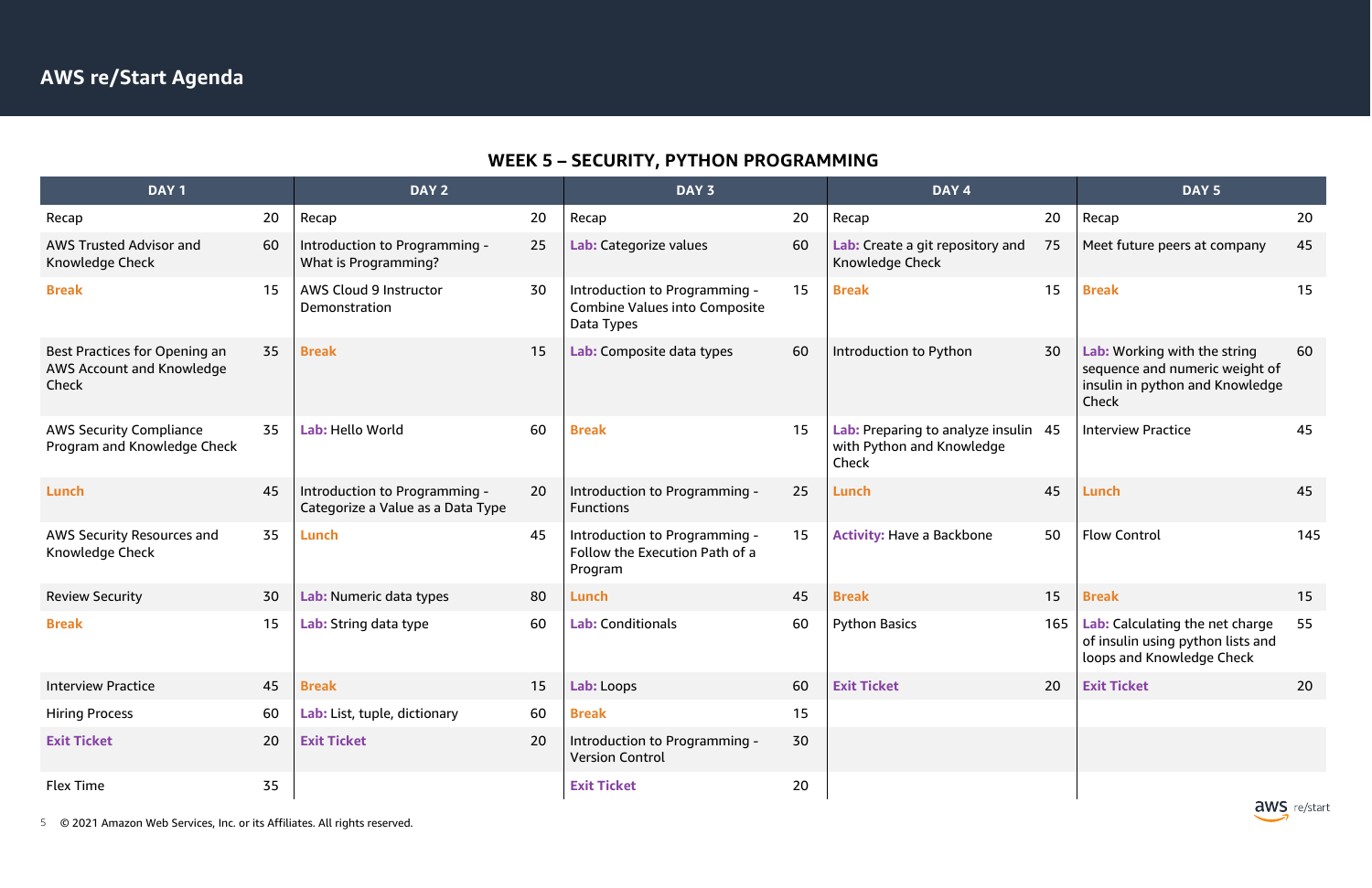

# **WEEK 5 – SECURITY, PYTHON PROGRAMMING**

| DAY <sub>1</sub>                                                    |    | DAY 2                                                              |    | DAY 3                                                                               |    | DAY 4                                                                      |     | DAY <sub>5</sub>                                                                                           |     |
|---------------------------------------------------------------------|----|--------------------------------------------------------------------|----|-------------------------------------------------------------------------------------|----|----------------------------------------------------------------------------|-----|------------------------------------------------------------------------------------------------------------|-----|
| Recap                                                               | 20 | Recap                                                              | 20 | Recap                                                                               | 20 | Recap                                                                      | 20  | Recap                                                                                                      | 20  |
| <b>AWS Trusted Advisor and</b><br>Knowledge Check                   | 60 | Introduction to Programming -<br>What is Programming?              | 25 | Lab: Categorize values                                                              | 60 | Lab: Create a git repository and<br>Knowledge Check                        | 75  | Meet future peers at company                                                                               | 45  |
| <b>Break</b>                                                        | 15 | <b>AWS Cloud 9 Instructor</b><br>Demonstration                     | 30 | Introduction to Programming -<br><b>Combine Values into Composite</b><br>Data Types | 15 | <b>Break</b>                                                               | 15  | <b>Break</b>                                                                                               | 15  |
| Best Practices for Opening an<br>AWS Account and Knowledge<br>Check | 35 | <b>Break</b>                                                       | 15 | Lab: Composite data types                                                           | 60 | Introduction to Python                                                     | 30  | Lab: Working with the string<br>sequence and numeric weight of<br>insulin in python and Knowledge<br>Check | 60  |
| <b>AWS Security Compliance</b><br>Program and Knowledge Check       | 35 | Lab: Hello World                                                   | 60 | <b>Break</b>                                                                        | 15 | Lab: Preparing to analyze insulin 45<br>with Python and Knowledge<br>Check |     | <b>Interview Practice</b>                                                                                  | 45  |
| Lunch                                                               | 45 | Introduction to Programming -<br>Categorize a Value as a Data Type | 20 | Introduction to Programming -<br><b>Functions</b>                                   | 25 | Lunch                                                                      | 45  | Lunch                                                                                                      | 45  |
| AWS Security Resources and<br>Knowledge Check                       | 35 | Lunch                                                              | 45 | Introduction to Programming -<br>Follow the Execution Path of a<br>Program          | 15 | <b>Activity: Have a Backbone</b>                                           | 50  | <b>Flow Control</b>                                                                                        | 145 |
| <b>Review Security</b>                                              | 30 | Lab: Numeric data types                                            | 80 | Lunch                                                                               | 45 | <b>Break</b>                                                               | 15  | <b>Break</b>                                                                                               | 15  |
| <b>Break</b>                                                        | 15 | Lab: String data type                                              | 60 | <b>Lab: Conditionals</b>                                                            | 60 | <b>Python Basics</b>                                                       | 165 | Lab: Calculating the net charge<br>of insulin using python lists and<br>loops and Knowledge Check          | 55  |
| <b>Interview Practice</b>                                           | 45 | <b>Break</b>                                                       | 15 | Lab: Loops                                                                          | 60 | <b>Exit Ticket</b>                                                         | 20  | <b>Exit Ticket</b>                                                                                         | 20  |
| <b>Hiring Process</b>                                               | 60 | Lab: List, tuple, dictionary                                       | 60 | <b>Break</b>                                                                        | 15 |                                                                            |     |                                                                                                            |     |
| <b>Exit Ticket</b>                                                  | 20 | <b>Exit Ticket</b>                                                 | 20 | Introduction to Programming -<br><b>Version Control</b>                             | 30 |                                                                            |     |                                                                                                            |     |
| Flex Time                                                           | 35 |                                                                    |    | <b>Exit Ticket</b>                                                                  | 20 |                                                                            |     |                                                                                                            |     |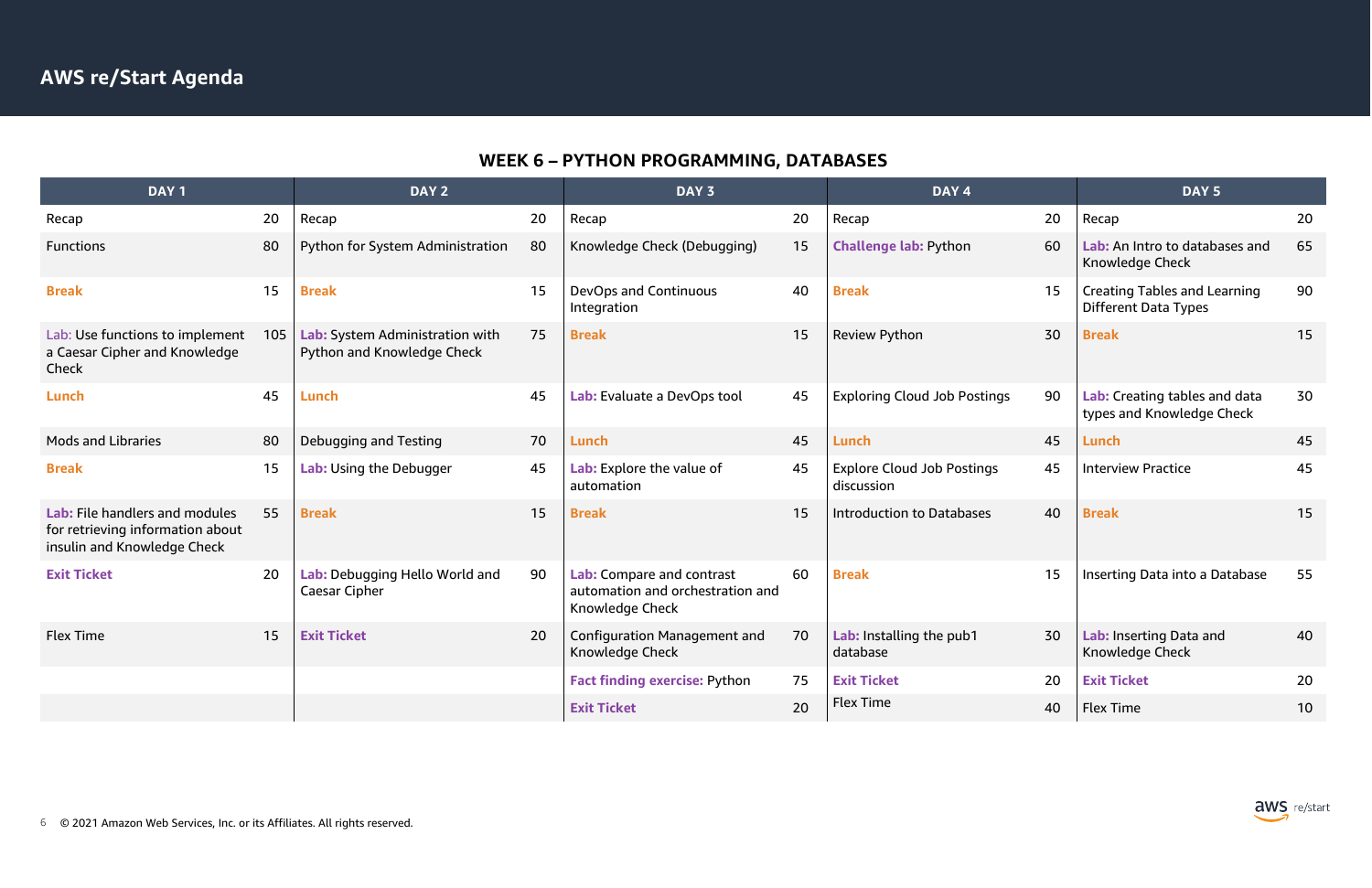## **WEEK 6 – PYTHON PROGRAMMING, DATABASES**

| DAY <sub>1</sub>                                                                                  |     | DAY 2                                                                |    | DAY 3                                                                            |    | DAY <sub>4</sub>                                |    | DAY <sub>5</sub>                                                   |    |
|---------------------------------------------------------------------------------------------------|-----|----------------------------------------------------------------------|----|----------------------------------------------------------------------------------|----|-------------------------------------------------|----|--------------------------------------------------------------------|----|
| Recap                                                                                             | 20  | Recap                                                                | 20 | Recap                                                                            | 20 | Recap                                           | 20 | Recap                                                              | 20 |
| <b>Functions</b>                                                                                  | 80  | <b>Python for System Administration</b>                              | 80 | Knowledge Check (Debugging)                                                      | 15 | <b>Challenge lab: Python</b>                    | 60 | Lab: An Intro to databases and<br>Knowledge Check                  | 65 |
| <b>Break</b>                                                                                      | 15  | <b>Break</b>                                                         | 15 | <b>DevOps and Continuous</b><br>Integration                                      | 40 | <b>Break</b>                                    | 15 | <b>Creating Tables and Learning</b><br><b>Different Data Types</b> | 90 |
| Lab: Use functions to implement<br>a Caesar Cipher and Knowledge<br>Check                         | 105 | Lab: System Administration with<br><b>Python and Knowledge Check</b> | 75 | <b>Break</b>                                                                     | 15 | <b>Review Python</b>                            | 30 | <b>Break</b>                                                       | 15 |
| Lunch                                                                                             | 45  | Lunch                                                                | 45 | Lab: Evaluate a DevOps tool                                                      | 45 | <b>Exploring Cloud Job Postings</b>             | 90 | Lab: Creating tables and data<br>types and Knowledge Check         | 30 |
| <b>Mods and Libraries</b>                                                                         | 80  | Debugging and Testing                                                | 70 | Lunch                                                                            | 45 | Lunch                                           | 45 | Lunch                                                              | 45 |
| <b>Break</b>                                                                                      | 15  | Lab: Using the Debugger                                              | 45 | Lab: Explore the value of<br>automation                                          | 45 | <b>Explore Cloud Job Postings</b><br>discussion | 45 | <b>Interview Practice</b>                                          | 45 |
| Lab: File handlers and modules<br>for retrieving information about<br>insulin and Knowledge Check | 55  | <b>Break</b>                                                         | 15 | <b>Break</b>                                                                     | 15 | <b>Introduction to Databases</b>                | 40 | <b>Break</b>                                                       | 15 |
| <b>Exit Ticket</b>                                                                                | 20  | Lab: Debugging Hello World and<br>Caesar Cipher                      | 90 | Lab: Compare and contrast<br>automation and orchestration and<br>Knowledge Check | 60 | <b>Break</b>                                    | 15 | Inserting Data into a Database                                     | 55 |
| Flex Time                                                                                         | 15  | <b>Exit Ticket</b>                                                   | 20 | <b>Configuration Management and</b><br>Knowledge Check                           | 70 | Lab: Installing the pub1<br>database            | 30 | Lab: Inserting Data and<br>Knowledge Check                         | 40 |
|                                                                                                   |     |                                                                      |    | <b>Fact finding exercise: Python</b>                                             | 75 | <b>Exit Ticket</b>                              | 20 | <b>Exit Ticket</b>                                                 | 20 |
|                                                                                                   |     |                                                                      |    | <b>Exit Ticket</b>                                                               | 20 | <b>Flex Time</b>                                | 40 | <b>Flex Time</b>                                                   | 10 |

|    | DAY <sub>4</sub>                                |    | DAY <sub>5</sub>                                                   |    |
|----|-------------------------------------------------|----|--------------------------------------------------------------------|----|
| 20 | Recap                                           | 20 | Recap                                                              | 20 |
| 15 | <b>Challenge lab: Python</b>                    | 60 | Lab: An Intro to databases and<br>Knowledge Check                  | 65 |
| 40 | <b>Break</b>                                    | 15 | <b>Creating Tables and Learning</b><br><b>Different Data Types</b> | 90 |
| 15 | <b>Review Python</b>                            | 30 | <b>Break</b>                                                       | 15 |
| 45 | <b>Exploring Cloud Job Postings</b>             | 90 | Lab: Creating tables and data<br>types and Knowledge Check         | 30 |
| 45 | Lunch                                           | 45 | Lunch                                                              | 45 |
| 45 | <b>Explore Cloud Job Postings</b><br>discussion | 45 | <b>Interview Practice</b>                                          | 45 |
| 15 | <b>Introduction to Databases</b>                | 40 | <b>Break</b>                                                       | 15 |
| 60 | <b>Break</b>                                    | 15 | Inserting Data into a Database                                     | 55 |
| 70 | Lab: Installing the pub1<br>database            | 30 | Lab: Inserting Data and<br>Knowledge Check                         | 40 |
| 75 | <b>Exit Ticket</b>                              | 20 | <b>Exit Ticket</b>                                                 | 20 |
| 20 | <b>Flex Time</b>                                | 40 | <b>Flex Time</b>                                                   | 10 |

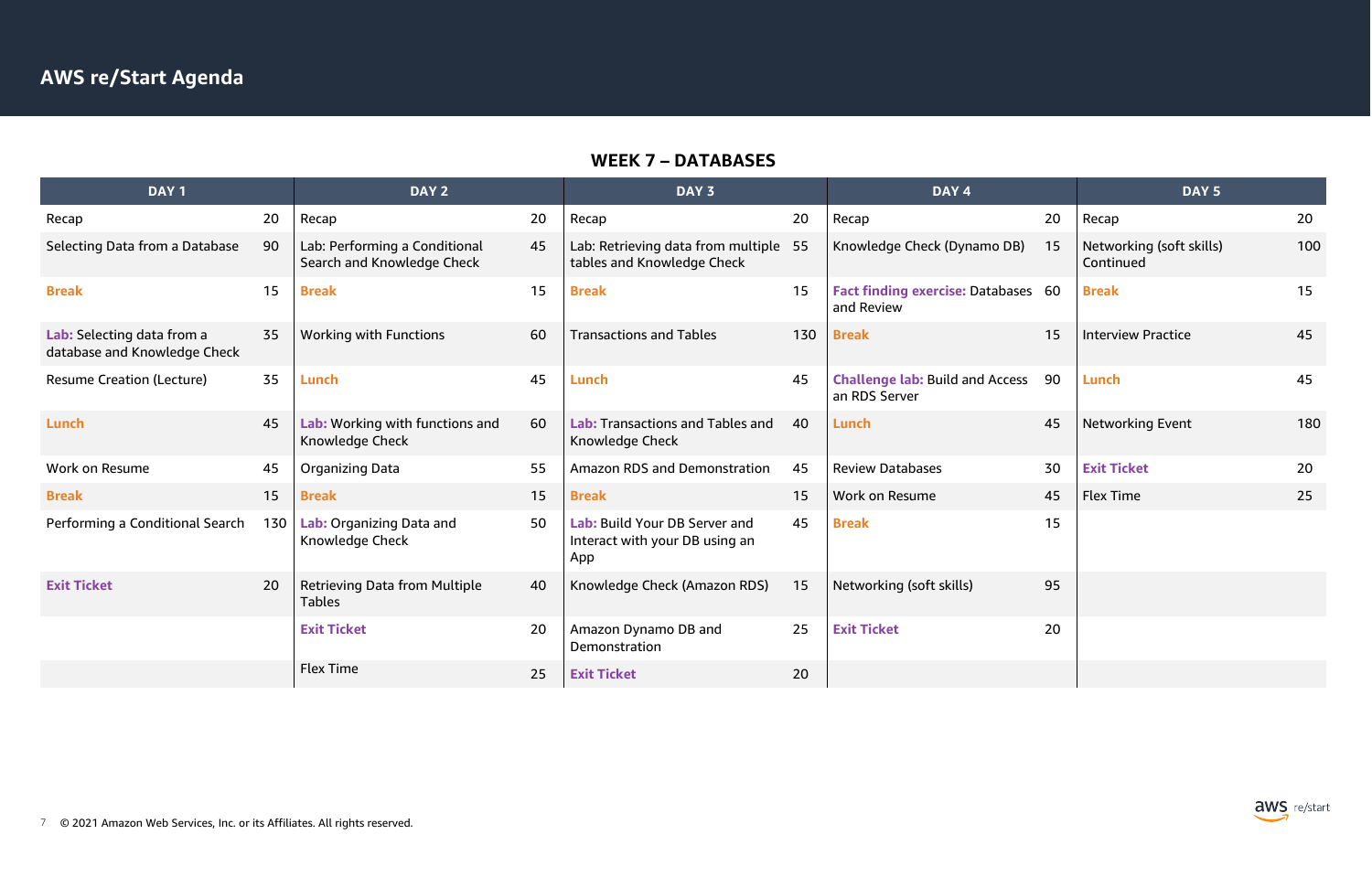

#### **WEEK 7 – DATABASES**

| DAY <sub>1</sub>                                           |     | DAY <sub>2</sub>                                            |    | DAY <sub>3</sub>                                                       |     | DAY <sub>4</sub>                                         |    | DAY <sub>5</sub>                      |     |
|------------------------------------------------------------|-----|-------------------------------------------------------------|----|------------------------------------------------------------------------|-----|----------------------------------------------------------|----|---------------------------------------|-----|
| Recap                                                      | 20  | Recap                                                       | 20 | Recap                                                                  | 20  | Recap                                                    | 20 | Recap                                 | 20  |
| Selecting Data from a Database                             | 90  | Lab: Performing a Conditional<br>Search and Knowledge Check | 45 | Lab: Retrieving data from multiple 55<br>tables and Knowledge Check    |     | Knowledge Check (Dynamo DB)                              | 15 | Networking (soft skills)<br>Continued | 100 |
| <b>Break</b>                                               | 15  | <b>Break</b>                                                | 15 | <b>Break</b>                                                           | 15  | <b>Fact finding exercise: Databases 60</b><br>and Review |    | <b>Break</b>                          | 15  |
| Lab: Selecting data from a<br>database and Knowledge Check | 35  | <b>Working with Functions</b>                               | 60 | <b>Transactions and Tables</b>                                         | 130 | <b>Break</b>                                             | 15 | <b>Interview Practice</b>             | 45  |
| <b>Resume Creation (Lecture)</b>                           | 35  | Lunch                                                       | 45 | Lunch                                                                  | 45  | <b>Challenge lab: Build and Access</b><br>an RDS Server  | 90 | Lunch                                 | 45  |
| Lunch                                                      | 45  | Lab: Working with functions and<br>Knowledge Check          | 60 | <b>Lab: Transactions and Tables and</b><br>Knowledge Check             | 40  | Lunch                                                    | 45 | <b>Networking Event</b>               | 180 |
| Work on Resume                                             | 45  | <b>Organizing Data</b>                                      | 55 | <b>Amazon RDS and Demonstration</b>                                    | 45  | <b>Review Databases</b>                                  | 30 | <b>Exit Ticket</b>                    | 20  |
| <b>Break</b>                                               | 15  | <b>Break</b>                                                | 15 | <b>Break</b>                                                           | 15  | Work on Resume                                           | 45 | <b>Flex Time</b>                      | 25  |
| Performing a Conditional Search                            | 130 | Lab: Organizing Data and<br>Knowledge Check                 | 50 | Lab: Build Your DB Server and<br>Interact with your DB using an<br>App | 45  | <b>Break</b>                                             | 15 |                                       |     |
| <b>Exit Ticket</b>                                         | 20  | <b>Retrieving Data from Multiple</b><br><b>Tables</b>       | 40 | Knowledge Check (Amazon RDS)                                           | 15  | Networking (soft skills)                                 | 95 |                                       |     |
|                                                            |     | <b>Exit Ticket</b>                                          | 20 | Amazon Dynamo DB and<br>Demonstration                                  | 25  | <b>Exit Ticket</b>                                       | 20 |                                       |     |
|                                                            |     | <b>Flex Time</b>                                            | 25 | <b>Exit Ticket</b>                                                     | 20  |                                                          |    |                                       |     |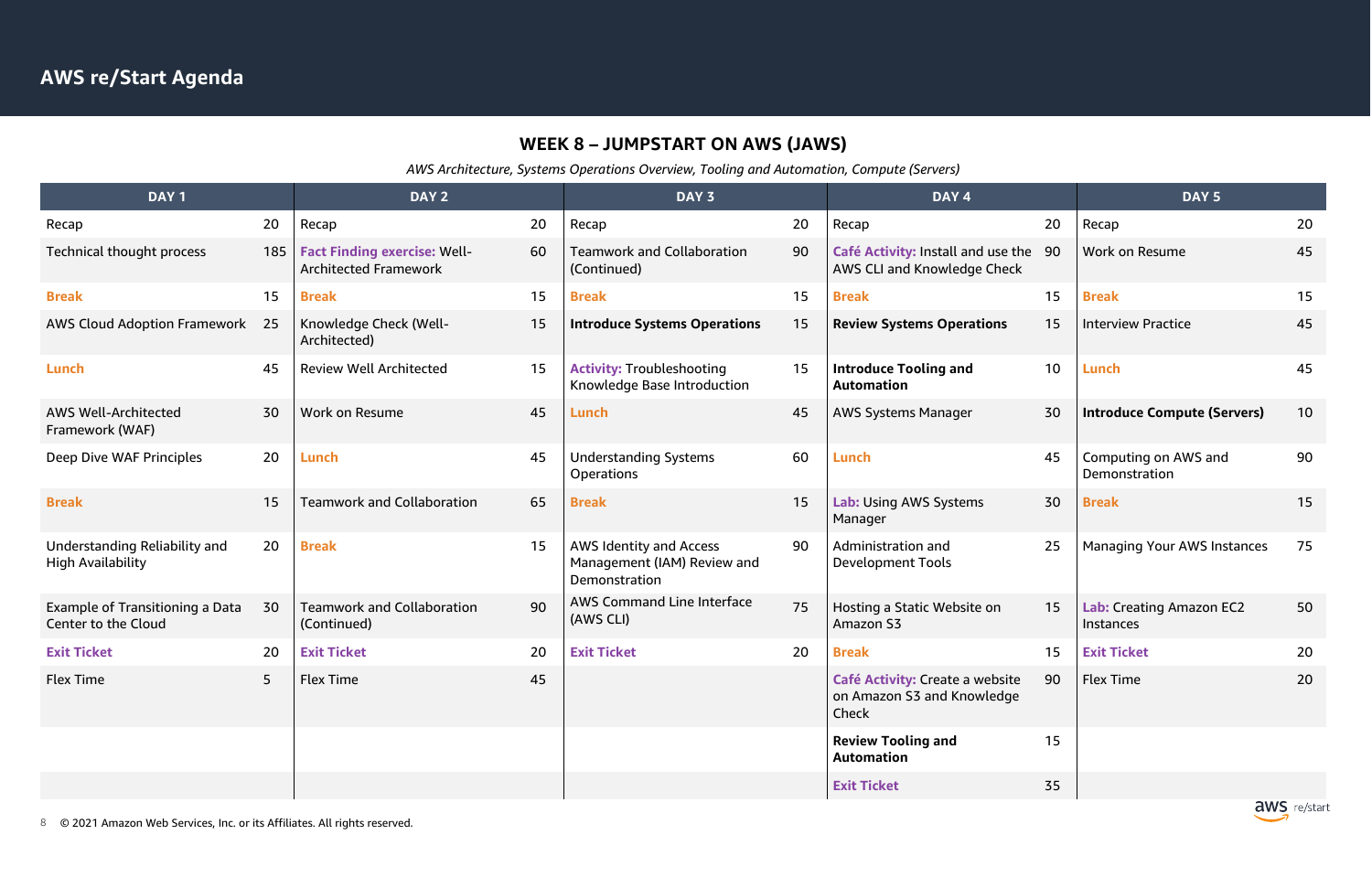## **WEEK 8 – JUMPSTART ON AWS (JAWS)**

*AWS Architecture, Systems Operations Overview, Tooling and Automation, Compute (Servers)*

| DAY <sub>1</sub>                                          |     | DAY <sub>2</sub>                                                    |    | DAY 3                                                                          |    | DAY 4                                                                  |    | DAY <sub>5</sub>                             |    |
|-----------------------------------------------------------|-----|---------------------------------------------------------------------|----|--------------------------------------------------------------------------------|----|------------------------------------------------------------------------|----|----------------------------------------------|----|
| Recap                                                     | 20  | Recap                                                               | 20 | Recap                                                                          | 20 | Recap                                                                  | 20 | Recap                                        | 20 |
| Technical thought process                                 | 185 | <b>Fact Finding exercise: Well-</b><br><b>Architected Framework</b> | 60 | <b>Teamwork and Collaboration</b><br>(Continued)                               | 90 | Café Activity: Install and use the 90<br>AWS CLI and Knowledge Check   |    | Work on Resume                               | 45 |
| <b>Break</b>                                              | 15  | <b>Break</b>                                                        | 15 | <b>Break</b>                                                                   | 15 | <b>Break</b>                                                           | 15 | <b>Break</b>                                 | 15 |
| <b>AWS Cloud Adoption Framework</b>                       | -25 | Knowledge Check (Well-<br>Architected)                              | 15 | <b>Introduce Systems Operations</b>                                            | 15 | <b>Review Systems Operations</b>                                       | 15 | <b>Interview Practice</b>                    | 45 |
| Lunch                                                     | 45  | <b>Review Well Architected</b>                                      | 15 | <b>Activity: Troubleshooting</b><br>Knowledge Base Introduction                | 15 | <b>Introduce Tooling and</b><br><b>Automation</b>                      | 10 | Lunch                                        | 45 |
| <b>AWS Well-Architected</b><br>Framework (WAF)            | 30  | <b>Work on Resume</b>                                               | 45 | Lunch                                                                          | 45 | <b>AWS Systems Manager</b>                                             | 30 | <b>Introduce Compute (Servers)</b>           | 10 |
| Deep Dive WAF Principles                                  | 20  | Lunch                                                               | 45 | <b>Understanding Systems</b><br><b>Operations</b>                              | 60 | Lunch                                                                  | 45 | Computing on AWS and<br>Demonstration        | 90 |
| <b>Break</b>                                              | 15  | <b>Teamwork and Collaboration</b>                                   | 65 | <b>Break</b>                                                                   | 15 | Lab: Using AWS Systems<br>Manager                                      | 30 | <b>Break</b>                                 | 15 |
| Understanding Reliability and<br><b>High Availability</b> | 20  | <b>Break</b>                                                        | 15 | <b>AWS Identity and Access</b><br>Management (IAM) Review and<br>Demonstration | 90 | Administration and<br>Development Tools                                | 25 | <b>Managing Your AWS Instances</b>           | 75 |
| Example of Transitioning a Data<br>Center to the Cloud    | 30  | <b>Teamwork and Collaboration</b><br>(Continued)                    | 90 | <b>AWS Command Line Interface</b><br>(AWS CLI)                                 | 75 | Hosting a Static Website on<br>Amazon S3                               | 15 | Lab: Creating Amazon EC2<br><b>Instances</b> | 50 |
| <b>Exit Ticket</b>                                        | 20  | <b>Exit Ticket</b>                                                  | 20 | <b>Exit Ticket</b>                                                             | 20 | <b>Break</b>                                                           | 15 | <b>Exit Ticket</b>                           | 20 |
| Flex Time                                                 | 5   | <b>Flex Time</b>                                                    | 45 |                                                                                |    | Café Activity: Create a website<br>on Amazon S3 and Knowledge<br>Check | 90 | <b>Flex Time</b>                             | 20 |
|                                                           |     |                                                                     |    |                                                                                |    | <b>Review Tooling and</b><br><b>Automation</b>                         | 15 |                                              |    |
|                                                           |     |                                                                     |    |                                                                                |    | <b>Exit Ticket</b>                                                     | 35 |                                              |    |

8 © 2021 Amazon Web Services, Inc. or its Affiliates. All rights reserved.

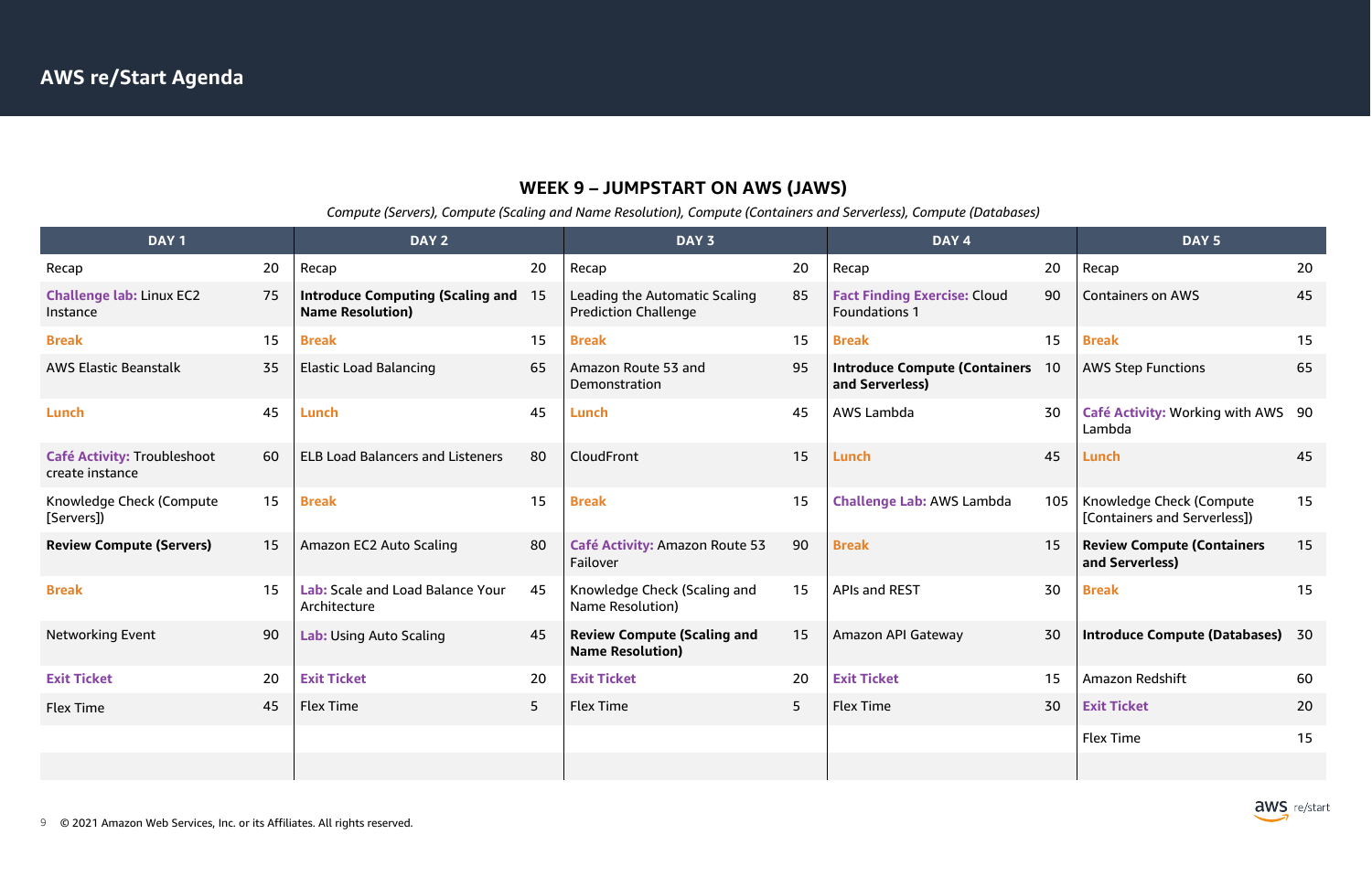## **WEEK 9 – JUMPSTART ON AWS (JAWS)**

*Compute (Servers), Compute (Scaling and Name Resolution), Compute (Containers and Serverless), Compute (Databases)*

|    | DAY <sub>4</sub>                                            |     | DAY <sub>5</sub>                                         |    |
|----|-------------------------------------------------------------|-----|----------------------------------------------------------|----|
| 20 | Recap                                                       | 20  | Recap                                                    | 20 |
| 85 | <b>Fact Finding Exercise: Cloud</b><br><b>Foundations 1</b> | 90  | <b>Containers on AWS</b>                                 | 45 |
| 15 | <b>Break</b>                                                | 15  | <b>Break</b>                                             | 15 |
| 95 | <b>Introduce Compute (Containers</b><br>and Serverless)     | 10  | <b>AWS Step Functions</b>                                | 65 |
| 45 | <b>AWS Lambda</b>                                           | 30  | Café Activity: Working with AWS<br>Lambda                | 90 |
| 15 | Lunch                                                       | 45  | Lunch                                                    | 45 |
| 15 | <b>Challenge Lab: AWS Lambda</b>                            | 105 | Knowledge Check (Compute<br>[Containers and Serverless]) | 15 |
| 90 | <b>Break</b>                                                | 15  | <b>Review Compute (Containers</b><br>and Serverless)     | 15 |
| 15 | <b>APIs and REST</b>                                        | 30  | <b>Break</b>                                             | 15 |
| 15 | Amazon API Gateway                                          | 30  | <b>Introduce Compute (Databases)</b>                     | 30 |
| 20 | <b>Exit Ticket</b>                                          | 15  | Amazon Redshift                                          | 60 |
| 5  | <b>Flex Time</b>                                            | 30  | <b>Exit Ticket</b>                                       | 20 |
|    |                                                             |     | <b>Flex Time</b>                                         | 15 |
|    |                                                             |     |                                                          |    |



| DAY <sub>1</sub>                                      |    | DAY <sub>2</sub>                                                   |                | DAY 3                                                         |    | DAY <sub>4</sub>                                            |    | DAY <sub>5</sub>                                               |    |
|-------------------------------------------------------|----|--------------------------------------------------------------------|----------------|---------------------------------------------------------------|----|-------------------------------------------------------------|----|----------------------------------------------------------------|----|
| Recap                                                 | 20 | Recap                                                              | 20             | Recap                                                         | 20 | Recap                                                       | 20 | Recap                                                          | 20 |
| <b>Challenge lab: Linux EC2</b><br>Instance           | 75 | <b>Introduce Computing (Scaling and</b><br><b>Name Resolution)</b> | 15             | Leading the Automatic Scaling<br><b>Prediction Challenge</b>  | 85 | <b>Fact Finding Exercise: Cloud</b><br><b>Foundations 1</b> | 90 | <b>Containers on AWS</b>                                       | 45 |
| <b>Break</b>                                          | 15 | <b>Break</b>                                                       | 15             | <b>Break</b>                                                  | 15 | <b>Break</b>                                                | 15 | <b>Break</b>                                                   | 15 |
| <b>AWS Elastic Beanstalk</b>                          | 35 | <b>Elastic Load Balancing</b>                                      | 65             | Amazon Route 53 and<br>Demonstration                          | 95 | <b>Introduce Compute (Containers 10</b><br>and Serverless)  |    | <b>AWS Step Functions</b>                                      | 65 |
| Lunch                                                 | 45 | Lunch                                                              | 45             | Lunch                                                         | 45 | AWS Lambda                                                  | 30 | Café Activity: Working with AWS 90<br>Lambda                   |    |
| <b>Café Activity: Troubleshoot</b><br>create instance | 60 | <b>ELB Load Balancers and Listeners</b>                            | 80             | CloudFront                                                    | 15 | Lunch                                                       | 45 | Lunch                                                          | 45 |
| Knowledge Check (Compute<br>[Servers])                | 15 | <b>Break</b>                                                       | 15             | <b>Break</b>                                                  | 15 | <b>Challenge Lab: AWS Lambda</b>                            |    | 105   Knowledge Check (Compute<br>[Containers and Serverless]) | 15 |
| <b>Review Compute (Servers)</b>                       | 15 | Amazon EC2 Auto Scaling                                            | 80             | <b>Café Activity: Amazon Route 53</b><br>Failover             | 90 | <b>Break</b>                                                | 15 | <b>Review Compute (Containers</b><br>and Serverless)           | 15 |
| <b>Break</b>                                          | 15 | Lab: Scale and Load Balance Your<br>Architecture                   | 45             | Knowledge Check (Scaling and<br>Name Resolution)              | 15 | <b>APIs and REST</b>                                        | 30 | <b>Break</b>                                                   | 15 |
| <b>Networking Event</b>                               | 90 | <b>Lab: Using Auto Scaling</b>                                     | 45             | <b>Review Compute (Scaling and</b><br><b>Name Resolution)</b> | 15 | <b>Amazon API Gateway</b>                                   | 30 | <b>Introduce Compute (Databases)</b>                           | 30 |
| <b>Exit Ticket</b>                                    | 20 | <b>Exit Ticket</b>                                                 | 20             | <b>Exit Ticket</b>                                            | 20 | <b>Exit Ticket</b>                                          | 15 | Amazon Redshift                                                | 60 |
| Flex Time                                             | 45 | <b>Flex Time</b>                                                   | 5 <sup>5</sup> | <b>Flex Time</b>                                              | 5  | <b>Flex Time</b>                                            | 30 | <b>Exit Ticket</b>                                             | 20 |
|                                                       |    |                                                                    |                |                                                               |    |                                                             |    | <b>Flex Time</b>                                               | 15 |
|                                                       |    |                                                                    |                |                                                               |    |                                                             |    |                                                                |    |
|                                                       |    |                                                                    |                |                                                               |    |                                                             |    |                                                                |    |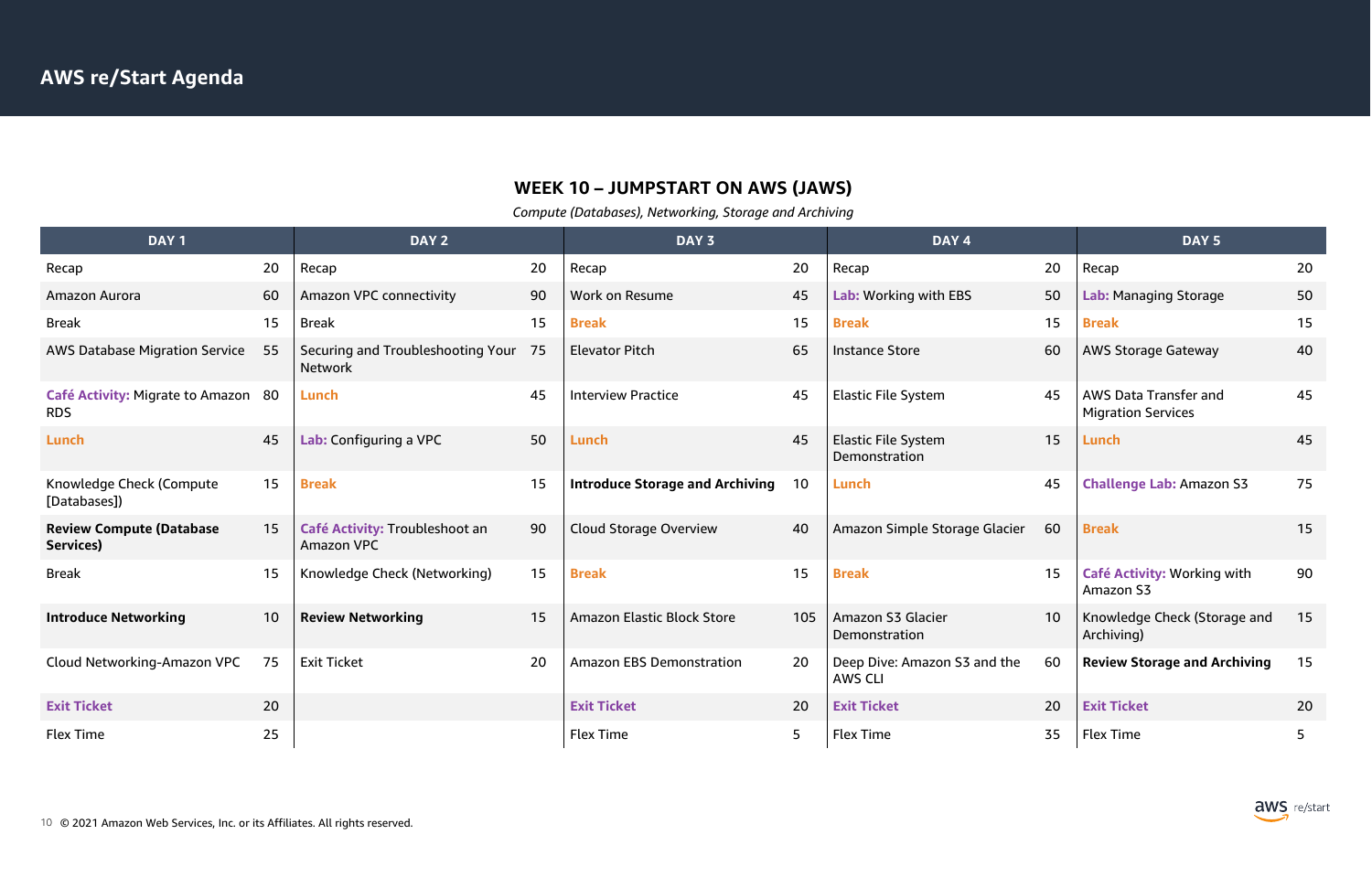## **WEEK 10 – JUMPSTART ON AWS (JAWS)**

*Compute (Databases), Networking, Storage and Archiving*

|     |    | DAY <sub>5</sub>                                          |    |
|-----|----|-----------------------------------------------------------|----|
|     | 20 | Recap                                                     | 20 |
|     | 50 | Lab: Managing Storage                                     | 50 |
|     | 15 | <b>Break</b>                                              | 15 |
|     | 60 | <b>AWS Storage Gateway</b>                                | 40 |
|     | 45 | <b>AWS Data Transfer and</b><br><b>Migration Services</b> | 45 |
|     | 15 | Lunch                                                     | 45 |
|     | 45 | <b>Challenge Lab: Amazon S3</b>                           | 75 |
| ier | 60 | <b>Break</b>                                              | 15 |
|     | 15 | Café Activity: Working with<br>Amazon S3                  | 90 |
|     | 10 | Knowledge Check (Storage and<br>Archiving)                | 15 |
| ٦e  | 60 | <b>Review Storage and Archiving</b>                       | 15 |
|     | 20 | <b>Exit Ticket</b>                                        | 20 |
|     | 35 | <b>Flex Time</b>                                          | 5  |



| DAY <sub>1</sub>                                  |    | DAY <sub>2</sub>                                    |    | DAY 3                                  |     | DAY 4                                          |    | DAY <sub>5</sub>                                   |    |
|---------------------------------------------------|----|-----------------------------------------------------|----|----------------------------------------|-----|------------------------------------------------|----|----------------------------------------------------|----|
| Recap                                             | 20 | Recap                                               | 20 | Recap                                  | 20  | Recap                                          | 20 | Recap                                              | 20 |
| Amazon Aurora                                     | 60 | Amazon VPC connectivity                             | 90 | Work on Resume                         | 45  | Lab: Working with EBS                          | 50 | Lab: Managing Storage                              | 50 |
| <b>Break</b>                                      | 15 | <b>Break</b>                                        | 15 | <b>Break</b>                           | 15  | <b>Break</b>                                   | 15 | <b>Break</b>                                       | 15 |
| <b>AWS Database Migration Service</b>             | 55 | Securing and Troubleshooting Your<br><b>Network</b> | 75 | <b>Elevator Pitch</b>                  | 65  | <b>Instance Store</b>                          | 60 | <b>AWS Storage Gateway</b>                         | 40 |
| Café Activity: Migrate to Amazon 80<br><b>RDS</b> |    | Lunch                                               | 45 | <b>Interview Practice</b>              | 45  | <b>Elastic File System</b>                     | 45 | AWS Data Transfer and<br><b>Migration Services</b> | 45 |
| Lunch                                             | 45 | Lab: Configuring a VPC                              | 50 | Lunch                                  | 45  | <b>Elastic File System</b><br>Demonstration    | 15 | Lunch                                              | 45 |
| Knowledge Check (Compute<br>[Databases])          | 15 | <b>Break</b>                                        | 15 | <b>Introduce Storage and Archiving</b> | 10  | Lunch                                          | 45 | <b>Challenge Lab: Amazon S3</b>                    | 75 |
| <b>Review Compute (Database</b><br>Services)      | 15 | Café Activity: Troubleshoot an<br>Amazon VPC        | 90 | <b>Cloud Storage Overview</b>          | 40  | Amazon Simple Storage Glacier                  | 60 | <b>Break</b>                                       | 15 |
| <b>Break</b>                                      | 15 | Knowledge Check (Networking)                        | 15 | <b>Break</b>                           | 15  | <b>Break</b>                                   | 15 | Café Activity: Working with<br>Amazon S3           | 90 |
| <b>Introduce Networking</b>                       | 10 | <b>Review Networking</b>                            | 15 | <b>Amazon Elastic Block Store</b>      | 105 | Amazon S3 Glacier<br>Demonstration             | 10 | Knowledge Check (Storage and<br>Archiving)         | 15 |
| Cloud Networking-Amazon VPC                       | 75 | <b>Exit Ticket</b>                                  | 20 | <b>Amazon EBS Demonstration</b>        | 20  | Deep Dive: Amazon S3 and the<br><b>AWS CLI</b> | 60 | <b>Review Storage and Archiving</b>                | 15 |
| <b>Exit Ticket</b>                                | 20 |                                                     |    | <b>Exit Ticket</b>                     | 20  | <b>Exit Ticket</b>                             | 20 | <b>Exit Ticket</b>                                 | 20 |
| Flex Time                                         | 25 |                                                     |    | <b>Flex Time</b>                       | 5   | <b>Flex Time</b>                               | 35 | <b>Flex Time</b>                                   | 5  |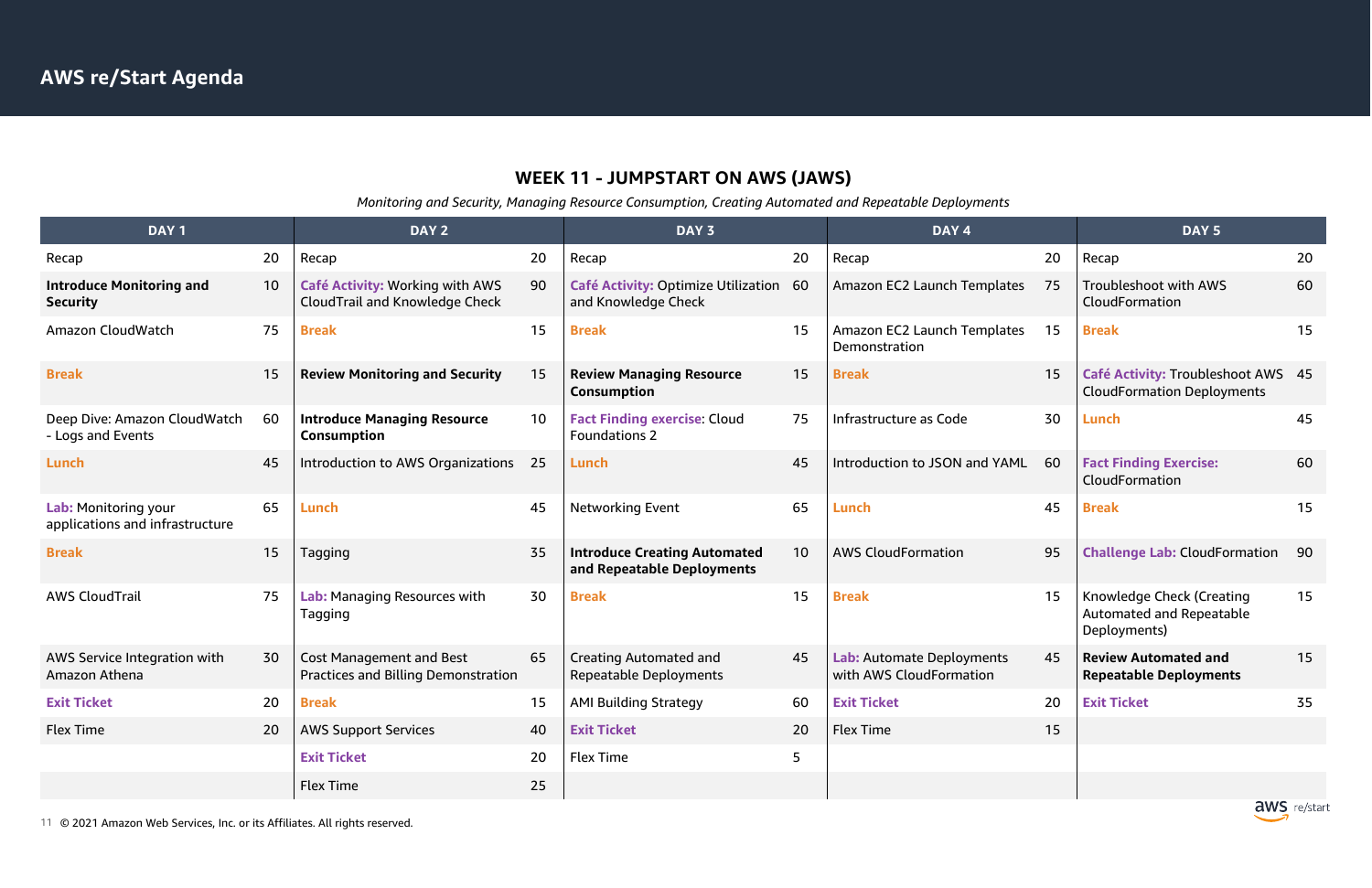## **WEEK 11 - JUMPSTART ON AWS (JAWS)**

*Monitoring and Security, Managing Resource Consumption, Creating Automated and Repeatable Deployments*

| DAY <sub>1</sub>                                        |    | DAY <sub>2</sub>                                                       |    | DAY 3                                                             |    | DAY <sub>4</sub>                                     |    | DAY <sub>5</sub>                                                                    |    |
|---------------------------------------------------------|----|------------------------------------------------------------------------|----|-------------------------------------------------------------------|----|------------------------------------------------------|----|-------------------------------------------------------------------------------------|----|
| Recap                                                   | 20 | Recap                                                                  | 20 | Recap                                                             | 20 | Recap                                                | 20 | Recap                                                                               | 20 |
| <b>Introduce Monitoring and</b><br><b>Security</b>      | 10 | Café Activity: Working with AWS<br>CloudTrail and Knowledge Check      | 90 | Café Activity: Optimize Utilization 60<br>and Knowledge Check     |    | Amazon EC2 Launch Templates                          | 75 | Troubleshoot with AWS<br>CloudFormation                                             | 60 |
| Amazon CloudWatch                                       | 75 | <b>Break</b>                                                           | 15 | <b>Break</b>                                                      | 15 | Amazon EC2 Launch Templates<br>Demonstration         | 15 | <b>Break</b>                                                                        | 15 |
| <b>Break</b>                                            | 15 | <b>Review Monitoring and Security</b>                                  | 15 | <b>Review Managing Resource</b><br><b>Consumption</b>             | 15 | <b>Break</b>                                         | 15 | Café Activity: Troubleshoot AWS 45<br><b>CloudFormation Deployments</b>             |    |
| Deep Dive: Amazon CloudWatch<br>- Logs and Events       | 60 | <b>Introduce Managing Resource</b><br><b>Consumption</b>               | 10 | <b>Fact Finding exercise: Cloud</b><br><b>Foundations 2</b>       | 75 | Infrastructure as Code                               | 30 | Lunch                                                                               | 45 |
| Lunch                                                   | 45 | Introduction to AWS Organizations                                      | 25 | Lunch                                                             | 45 | Introduction to JSON and YAML                        | 60 | <b>Fact Finding Exercise:</b><br>CloudFormation                                     | 60 |
| Lab: Monitoring your<br>applications and infrastructure | 65 | Lunch                                                                  | 45 | <b>Networking Event</b>                                           | 65 | Lunch                                                | 45 | <b>Break</b>                                                                        | 15 |
| <b>Break</b>                                            | 15 | Tagging                                                                | 35 | <b>Introduce Creating Automated</b><br>and Repeatable Deployments | 10 | <b>AWS CloudFormation</b>                            | 95 | <b>Challenge Lab: CloudFormation</b>                                                | 90 |
| <b>AWS CloudTrail</b>                                   | 75 | Lab: Managing Resources with<br>Tagging                                | 30 | <b>Break</b>                                                      | 15 | <b>Break</b>                                         | 15 | <b>Knowledge Check (Creating</b><br><b>Automated and Repeatable</b><br>Deployments) | 15 |
| AWS Service Integration with<br>Amazon Athena           | 30 | <b>Cost Management and Best</b><br>Practices and Billing Demonstration | 65 | <b>Creating Automated and</b><br><b>Repeatable Deployments</b>    | 45 | Lab: Automate Deployments<br>with AWS CloudFormation | 45 | <b>Review Automated and</b><br><b>Repeatable Deployments</b>                        | 15 |
| <b>Exit Ticket</b>                                      | 20 | <b>Break</b>                                                           | 15 | <b>AMI Building Strategy</b>                                      | 60 | <b>Exit Ticket</b>                                   | 20 | <b>Exit Ticket</b>                                                                  | 35 |
| <b>Flex Time</b>                                        | 20 | <b>AWS Support Services</b>                                            | 40 | <b>Exit Ticket</b>                                                | 20 | <b>Flex Time</b>                                     | 15 |                                                                                     |    |
|                                                         |    | <b>Exit Ticket</b>                                                     | 20 | <b>Flex Time</b>                                                  | 5  |                                                      |    |                                                                                     |    |
|                                                         |    | <b>Flex Time</b>                                                       | 25 |                                                                   |    |                                                      |    |                                                                                     |    |

11 © 2021 Amazon Web Services, Inc. or its Affiliates. All rights reserved.